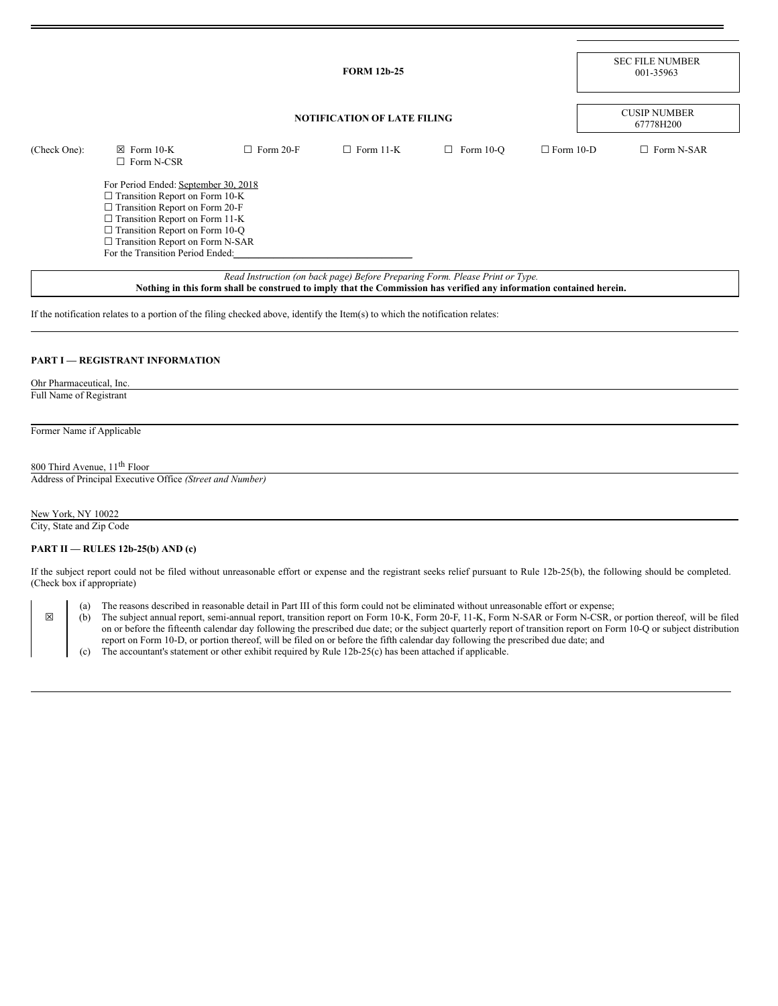|              |                                                                                                                                                                                                                                                                                        |                  |                                    | <b>SEC FILE NUMBER</b><br>001-35963 |                                  |                   |
|--------------|----------------------------------------------------------------------------------------------------------------------------------------------------------------------------------------------------------------------------------------------------------------------------------------|------------------|------------------------------------|-------------------------------------|----------------------------------|-------------------|
|              |                                                                                                                                                                                                                                                                                        |                  | <b>NOTIFICATION OF LATE FILING</b> |                                     | <b>CUSIP NUMBER</b><br>67778H200 |                   |
| (Check One): | $\boxtimes$ Form 10-K<br>$\Box$ Form N-CSR                                                                                                                                                                                                                                             | $\Box$ Form 20-F | $\Box$ Form 11-K                   | $\Box$ Form 10-Q                    | $\Box$ Form 10-D                 | $\Box$ Form N-SAR |
|              | For Period Ended: September 30, 2018<br>$\Box$ Transition Report on Form 10-K<br>$\Box$ Transition Report on Form 20-F<br>$\Box$ Transition Report on Form 11-K<br>$\Box$ Transition Report on Form 10-Q<br>$\Box$ Transition Report on Form N-SAR<br>For the Transition Period Ended: |                  |                                    |                                     |                                  |                   |

*Read Instruction (on back page) Before Preparing Form. Please Print or Type.* Nothing in this form shall be construed to imply that the Commission has verified any information contained herein.

If the notification relates to a portion of the filing checked above, identify the Item(s) to which the notification relates:

#### **PART I — REGISTRANT INFORMATION**

Ohr Pharmaceutical, Inc.

Full Name of Registrant

Former Name if Applicable

## 800 Third Avenue, 11<sup>th</sup> Floor

Address of Principal Executive Office *(Street and Number)*

# New York, NY 10022

City, State and Zip Code

#### **PART II — RULES 12b-25(b) AND (c)**

If the subject report could not be filed without unreasonable effort or expense and the registrant seeks relief pursuant to Rule 12b-25(b), the following should be completed. (Check box if appropriate)

(a) The reasons described in reasonable detail in Part III of this form could not be eliminated without unreasonable effort or expense;

☒ (b) The subject annual report, semi-annual report, transition report on Form 10-K, Form 20-F, 11-K, Form N-SAR or Form N-CSR, or portion thereof, will be filed on or before the fifteenth calendar day following the prescribed due date; or the subject quarterly report of transition report on Form 10-Q or subject distribution report on Form 10-D, or portion thereof, will be filed on or before the fifth calendar day following the prescribed due date; and (c) The accountant's statement or other exhibit required by Rule 12b-25(c) has been attached if applicable.